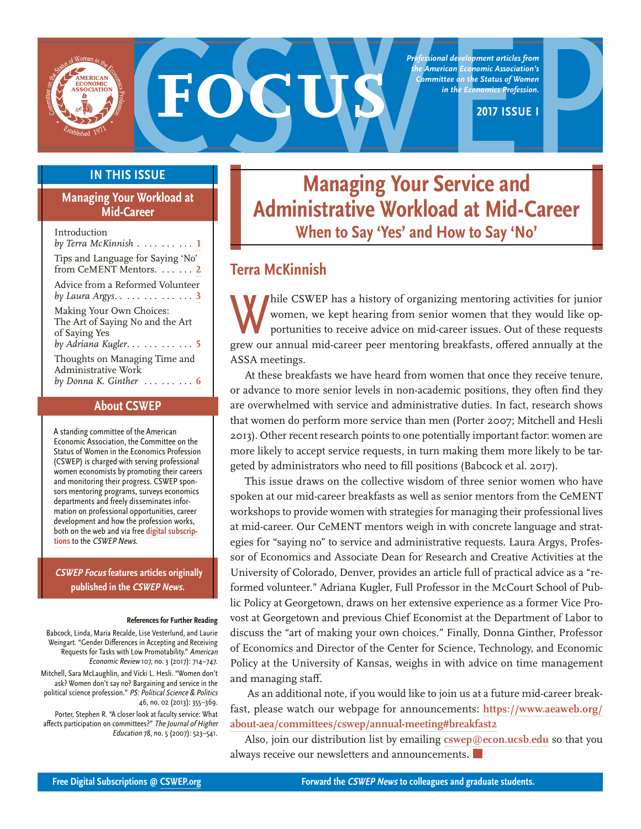*Professional development articles from the American Economic Association's Committee on the Status of Women in the Economics Profession.*

# **In This Issue**

ECONOMIC<br>SSOCIATION

**Managing Your Workload at Mid-Career**

| Introduction<br>by Terra McKinnish $\ldots \ldots \ldots 1$                                           |
|-------------------------------------------------------------------------------------------------------|
| Tips and Language for Saying 'No'<br>from CeMENT Mentors.   2                                         |
| Advice from a Reformed Volunteer<br>by Laura Argys. 3                                                 |
| Making Your Own Choices:<br>The Art of Saying No and the Art<br>of Saying Yes<br>by Adriana Kugler. 5 |
| Thoughts on Managing Time and<br>Administrative Work<br>by Donna K. Ginther<br>. 6                    |

#### **About CSWEP**

A standing committee of the American Economic Association, the Committee on the Status of Women in the Economics Profession (CSWEP) is charged with serving professional women economists by promoting their careers and monitoring their progress. CSWEP sponsors mentoring programs, surveys economics departments and freely disseminates information on professional opportunities, career development and how the profession works, both on the web and via free **[digital subscrip](mailto:cswep%40econ.ucsb.edu?subject=request%20digital%20subscription%20to%20CSWEP%20News)[tions](mailto:cswep%40econ.ucsb.edu?subject=request%20digital%20subscription%20to%20CSWEP%20News)** to the CSWEP News.

 **CSWEP Focus features articles originally published in the CSWEP News.**

#### **References for Further Reading**

Babcock, Linda, Maria Recalde, Lise Vesterlund, and Laurie Weingart. "Gender Differences in Accepting and Receiving Requests for Tasks with Low Promotability." American Economic Review 107, no. 3 (2017): 714–747.

Mitchell, Sara McLaughlin, and Vicki L. Hesli. "Women don't ask? Women don't say no? Bargaining and service in the political science profession." PS: Political Science & Politics 46, no. 02 (2013): 355–369.

Porter, Stephen R. "A closer look at faculty service: What affects participation on committees?" The Journal of Higher Education 78, no. 5 (2007): 523–541.

**Managing Your Service and Administrative Workload at Mid-Career When to Say 'Yes' and How to Say 'No'** Professional development articles from<br>the American Economics Association's<br>in the Economics Profession.<br>2017 ISSUE<br>SISSUE **Managing Your Service and** 

# **Terra McKinnish**

hile CSWEP has a history of organizing mentoring activities for junior women, we kept hearing from senior women that they would like opportunities to receive advice on mid-career issues. Out of these requests grew our annual mid-career peer mentoring breakfasts, offered annually at the ASSA meetings.

At these breakfasts we have heard from women that once they receive tenure, or advance to more senior levels in non-academic positions, they often find they are overwhelmed with service and administrative duties. In fact, research shows that women do perform more service than men (Porter 2007; Mitchell and Hesli 2013). Other recent research points to one potentially important factor: women are more likely to accept service requests, in turn making them more likely to be targeted by administrators who need to fill positions (Babcock et al. 2017).

This issue draws on the collective wisdom of three senior women who have spoken at our mid-career breakfasts as well as senior mentors from the CeMENT workshops to provide women with strategies for managing their professional lives at mid-career. Our CeMENT mentors weigh in with concrete language and strategies for "saying no" to service and administrative requests. Laura Argys, Professor of Economics and Associate Dean for Research and Creative Activities at the University of Colorado, Denver, provides an article full of practical advice as a "reformed volunteer." Adriana Kugler, Full Professor in the McCourt School of Public Policy at Georgetown, draws on her extensive experience as a former Vice Provost at Georgetown and previous Chief Economist at the Department of Labor to discuss the "art of making your own choices." Finally, Donna Ginther, Professor of Economics and Director of the Center for Science, Technology, and Economic Policy at the University of Kansas, weighs in with advice on time management and managing staff.

 As an additional note, if you would like to join us at a future mid-career breakfast, please watch our webpage for announcements: **[https://www.aeaweb.org/](https://www.aeaweb.org/about-aea/committees/cswep/annual-meeting#breakfast2) [about-aea/committees/cswep/annual-meeting#breakfast2](https://www.aeaweb.org/about-aea/committees/cswep/annual-meeting#breakfast2)**

Also, join our distribution list by emailing **[cswep@econ.ucsb.edu](mailto:cswep%40econ.ucsb.edu?subject=)** so that you always receive our newsletters and announcements.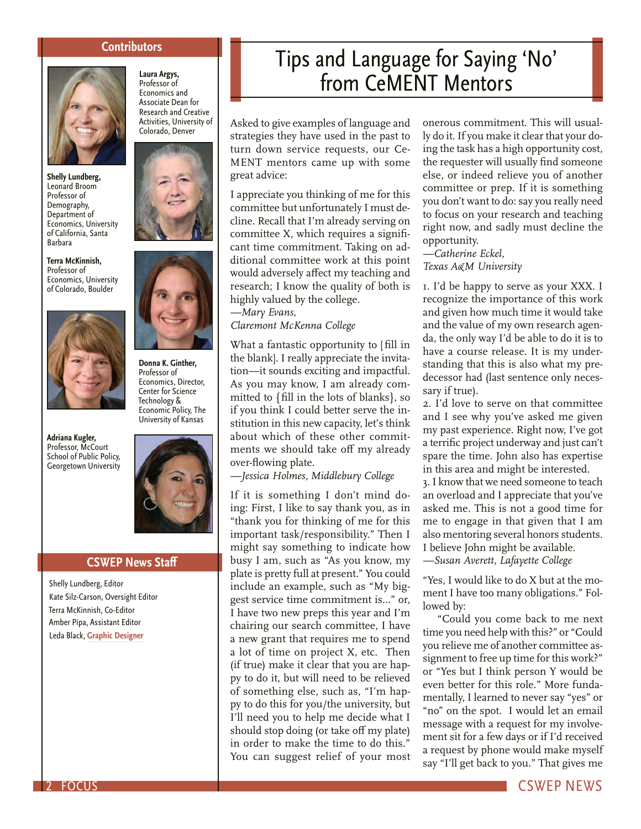#### **Contributors**

<span id="page-1-0"></span>

**Shelly Lundberg,**  Leonard Broom Professor of Demography, Department of Economics, University of California, Santa Barbara

**Terra McKinnish,**  Professor of Economics, University of Colorado, Boulder



**Adriana Kugler,**  Professor, McCourt School of Public Policy, Georgetown University



#### **CSWEP News Staff**

Shelly Lundberg, Editor Kate Silz-Carson, Oversight Editor Terra McKinnish, Co-Editor Amber Pipa, Assistant Editor Leda Black, **[Graphic Designer](http://www.ledablack.com/)**

#### **Laura Argys,**  Professor of Economics and Associate Dean for Research and Creative Activities, University of Colorado, Denver





**Donna K. Ginther,**  Professor of Economics, Director, Center for Science Technology & Economic Policy, The



# Tips and Language for Saying 'No' from CeMENT Mentors

Asked to give examples of language and strategies they have used in the past to turn down service requests, our Ce-MENT mentors came up with some great advice:

I appreciate you thinking of me for this committee but unfortunately I must decline. Recall that I'm already serving on committee X, which requires a significant time commitment. Taking on additional committee work at this point would adversely affect my teaching and research; I know the quality of both is highly valued by the college.

*—Mary Evans,* 

*Claremont McKenna College*

What a fantastic opportunity to [ fill in the blank]. I really appreciate the invitation—it sounds exciting and impactful. As you may know, I am already committed to {fill in the lots of blanks}, so if you think I could better serve the institution in this new capacity, let's think about which of these other commitments we should take off my already over-flowing plate.

*—Jessica Holmes, Middlebury College*

If it is something I don't mind doing: First, I like to say thank you, as in "thank you for thinking of me for this important task/responsibility." Then I might say something to indicate how busy I am, such as "As you know, my plate is pretty full at present." You could include an example, such as "My biggest service time commitment is…" or, I have two new preps this year and I'm chairing our search committee, I have a new grant that requires me to spend a lot of time on project X, etc. Then (if true) make it clear that you are happy to do it, but will need to be relieved of something else, such as, "I'm happy to do this for you/the university, but I'll need you to help me decide what I should stop doing (or take off my plate) in order to make the time to do this." You can suggest relief of your most onerous commitment. This will usually do it. If you make it clear that your doing the task has a high opportunity cost, the requester will usually find someone else, or indeed relieve you of another committee or prep. If it is something you don't want to do: say you really need to focus on your research and teaching right now, and sadly must decline the opportunity.

*—Catherine Eckel, Texas A&M University*

1. I'd be happy to serve as your XXX. I recognize the importance of this work and given how much time it would take and the value of my own research agenda, the only way I'd be able to do it is to have a course release. It is my understanding that this is also what my predecessor had (last sentence only necessary if true).

2. I'd love to serve on that committee and I see why you've asked me given my past experience. Right now, I've got a terrific project underway and just can't spare the time. John also has expertise in this area and might be interested.

3. I know that we need someone to teach an overload and I appreciate that you've asked me. This is not a good time for me to engage in that given that I am also mentoring several honors students. I believe John might be available.

*—Susan Averett, Lafayette College*

"Yes, I would like to do X but at the moment I have too many obligations." Followed by:

"Could you come back to me next time you need help with this?" or "Could you relieve me of another committee assignment to free up time for this work?" or "Yes but I think person Y would be even better for this role." More fundamentally, I learned to never say "yes" or "no" on the spot. I would let an email message with a request for my involvement sit for a few days or if I'd received a request by phone would make myself say "I'll get back to you." That gives me



2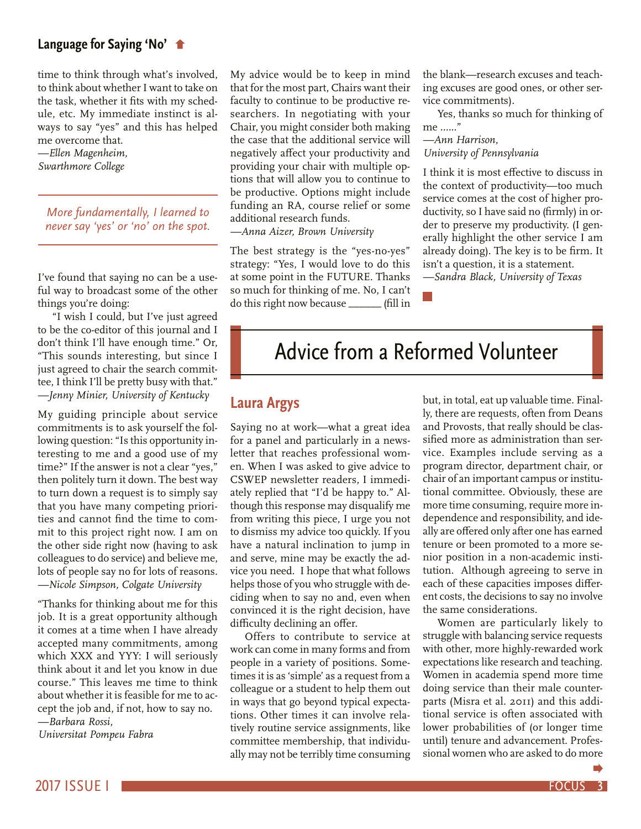### <span id="page-2-0"></span>**Language for Saying 'No'**

time to think through what's involved, to think about whether I want to take on the task, whether it fits with my schedule, etc. My immediate instinct is always to say "yes" and this has helped me overcome that.

*—Ellen Magenheim, Swarthmore College*

*More fundamentally, I learned to never say 'yes' or 'no' on the spot.* 

I've found that saying no can be a useful way to broadcast some of the other things you're doing:

"I wish I could, but I've just agreed to be the co-editor of this journal and I don't think I'll have enough time." Or, "This sounds interesting, but since I just agreed to chair the search committee, I think I'll be pretty busy with that." *—Jenny Minier, University of Kentucky*

My guiding principle about service commitments is to ask yourself the following question: "Is this opportunity interesting to me and a good use of my time?" If the answer is not a clear "yes," then politely turn it down. The best way to turn down a request is to simply say that you have many competing priorities and cannot find the time to commit to this project right now. I am on the other side right now (having to ask colleagues to do service) and believe me, lots of people say no for lots of reasons. *—Nicole Simpson, Colgate University*

"Thanks for thinking about me for this job. It is a great opportunity although it comes at a time when I have already accepted many commitments, among which XXX and YYY: I will seriously think about it and let you know in due course." This leaves me time to think about whether it is feasible for me to accept the job and, if not, how to say no. *—Barbara Rossi, Universitat Pompeu Fabra*

My advice would be to keep in mind that for the most part, Chairs want their faculty to continue to be productive researchers. In negotiating with your Chair, you might consider both making the case that the additional service will negatively affect your productivity and providing your chair with multiple options that will allow you to continue to be productive. Options might include funding an RA, course relief or some additional research funds. *—Anna Aizer, Brown University*

The best strategy is the "yes-no-yes" strategy: "Yes, I would love to do this at some point in the FUTURE. Thanks so much for thinking of me. No, I can't do this right now because \_\_\_\_\_\_ (fill in the blank—research excuses and teaching excuses are good ones, or other service commitments).

Yes, thanks so much for thinking of me ......"

*—Ann Harrison, University of Pennsylvania*

I think it is most effective to discuss in the context of productivity—too much service comes at the cost of higher productivity, so I have said no (firmly) in order to preserve my productivity. (I generally highlight the other service I am already doing). The key is to be firm. It isn't a question, it is a statement.

*—Sandra Black, University of Texas*

# Advice from a Reformed Volunteer

# **Laura Argys**

Saying no at work—what a great idea for a panel and particularly in a newsletter that reaches professional women. When I was asked to give advice to CSWEP newsletter readers, I immediately replied that "I'd be happy to." Although this response may disqualify me from writing this piece, I urge you not to dismiss my advice too quickly. If you have a natural inclination to jump in and serve, mine may be exactly the advice you need. I hope that what follows helps those of you who struggle with deciding when to say no and, even when convinced it is the right decision, have difficulty declining an offer.

Offers to contribute to service at work can come in many forms and from people in a variety of positions. Sometimes it is as 'simple' as a request from a colleague or a student to help them out in ways that go beyond typical expectations. Other times it can involve relatively routine service assignments, like committee membership, that individually may not be terribly time consuming but, in total, eat up valuable time. Finally, there are requests, often from Deans and Provosts, that really should be classified more as administration than service. Examples include serving as a program director, department chair, or chair of an important campus or institutional committee. Obviously, these are more time consuming, require more independence and responsibility, and ideally are offered only after one has earned tenure or been promoted to a more senior position in a non-academic institution. Although agreeing to serve in each of these capacities imposes different costs, the decisions to say no involve the same considerations.

Women are particularly likely to struggle with balancing service requests with other, more highly-rewarded work expectations like research and teaching. Women in academia spend more time doing service than their male counterparts (Misra et al. 2011) and this additional service is often associated with lower probabilities of (or longer time until) tenure and advancement. Professional women who are asked to do more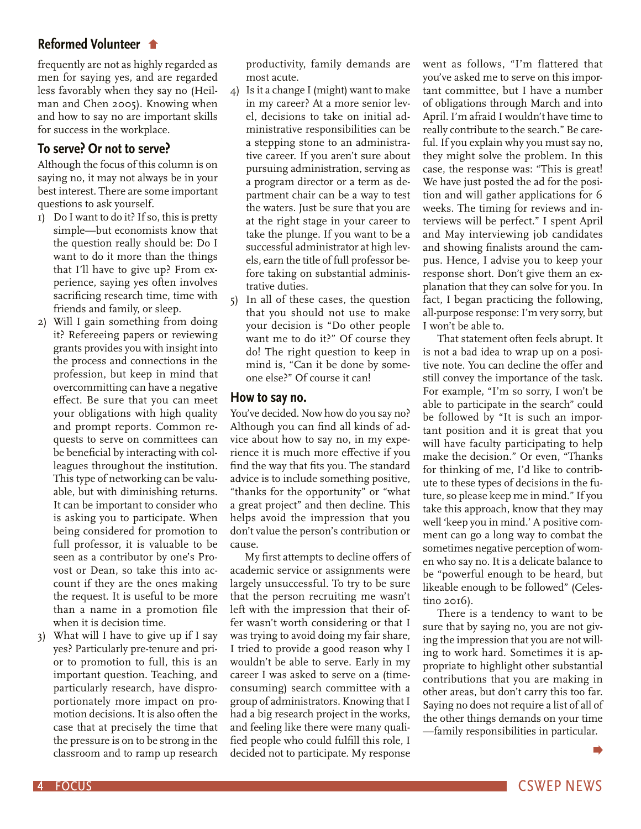### <span id="page-3-0"></span>**[Reformed Volunteer](#page-2-0)**

frequently are not as highly regarded as men for saying yes, and are regarded less favorably when they say no (Heilman and Chen 2005). Knowing when and how to say no are important skills for success in the workplace.

## **To serve? Or not to serve?**

Although the focus of this column is on saying no, it may not always be in your best interest. There are some important questions to ask yourself.

- 1) Do I want to do it? If so, this is pretty simple—but economists know that the question really should be: Do I want to do it more than the things that I'll have to give up? From experience, saying yes often involves sacrificing research time, time with friends and family, or sleep.
- 2) Will I gain something from doing it? Refereeing papers or reviewing grants provides you with insight into the process and connections in the profession, but keep in mind that overcommitting can have a negative effect. Be sure that you can meet your obligations with high quality and prompt reports. Common requests to serve on committees can be beneficial by interacting with colleagues throughout the institution. This type of networking can be valuable, but with diminishing returns. It can be important to consider who is asking you to participate. When being considered for promotion to full professor, it is valuable to be seen as a contributor by one's Provost or Dean, so take this into account if they are the ones making the request. It is useful to be more than a name in a promotion file when it is decision time.
- 3) What will I have to give up if I say yes? Particularly pre-tenure and prior to promotion to full, this is an important question. Teaching, and particularly research, have disproportionately more impact on promotion decisions. It is also often the case that at precisely the time that the pressure is on to be strong in the classroom and to ramp up research

productivity, family demands are most acute.

- 4) Is it a change I (might) want to make in my career? At a more senior level, decisions to take on initial administrative responsibilities can be a stepping stone to an administrative career. If you aren't sure about pursuing administration, serving as a program director or a term as department chair can be a way to test the waters. Just be sure that you are at the right stage in your career to take the plunge. If you want to be a successful administrator at high levels, earn the title of full professor before taking on substantial administrative duties.
- 5) In all of these cases, the question that you should not use to make your decision is "Do other people want me to do it?" Of course they do! The right question to keep in mind is, "Can it be done by someone else?" Of course it can!

#### **How to say no.**

You've decided. Now how do you say no? Although you can find all kinds of advice about how to say no, in my experience it is much more effective if you find the way that fits you. The standard advice is to include something positive, "thanks for the opportunity" or "what a great project" and then decline. This helps avoid the impression that you don't value the person's contribution or cause.

My first attempts to decline offers of academic service or assignments were largely unsuccessful. To try to be sure that the person recruiting me wasn't left with the impression that their offer wasn't worth considering or that I was trying to avoid doing my fair share, I tried to provide a good reason why I wouldn't be able to serve. Early in my career I was asked to serve on a (timeconsuming) search committee with a group of administrators. Knowing that I had a big research project in the works, and feeling like there were many qualified people who could fulfill this role, I decided not to participate. My response went as follows, "I'm flattered that you've asked me to serve on this important committee, but I have a number of obligations through March and into April. I'm afraid I wouldn't have time to really contribute to the search." Be careful. If you explain why you must say no, they might solve the problem. In this case, the response was: "This is great! We have just posted the ad for the position and will gather applications for 6 weeks. The timing for reviews and interviews will be perfect." I spent April and May interviewing job candidates and showing finalists around the campus. Hence, I advise you to keep your response short. Don't give them an explanation that they can solve for you. In fact, I began practicing the following, all-purpose response: I'm very sorry, but I won't be able to.

That statement often feels abrupt. It is not a bad idea to wrap up on a positive note. You can decline the offer and still convey the importance of the task. For example, "I'm so sorry, I won't be able to participate in the search" could be followed by "It is such an important position and it is great that you will have faculty participating to help make the decision." Or even, "Thanks for thinking of me, I'd like to contribute to these types of decisions in the future, so please keep me in mind." If you take this approach, know that they may well 'keep you in mind.' A positive comment can go a long way to combat the sometimes negative perception of women who say no. It is a delicate balance to be "powerful enough to be heard, but likeable enough to be followed" (Celestino 2016).

There is a tendency to want to be sure that by saying no, you are not giving the impression that you are not willing to work hard. Sometimes it is appropriate to highlight other substantial contributions that you are making in other areas, but don't carry this too far. Saying no does not require a list of all of the other things demands on your time —family responsibilities in particular.

 $\Rightarrow$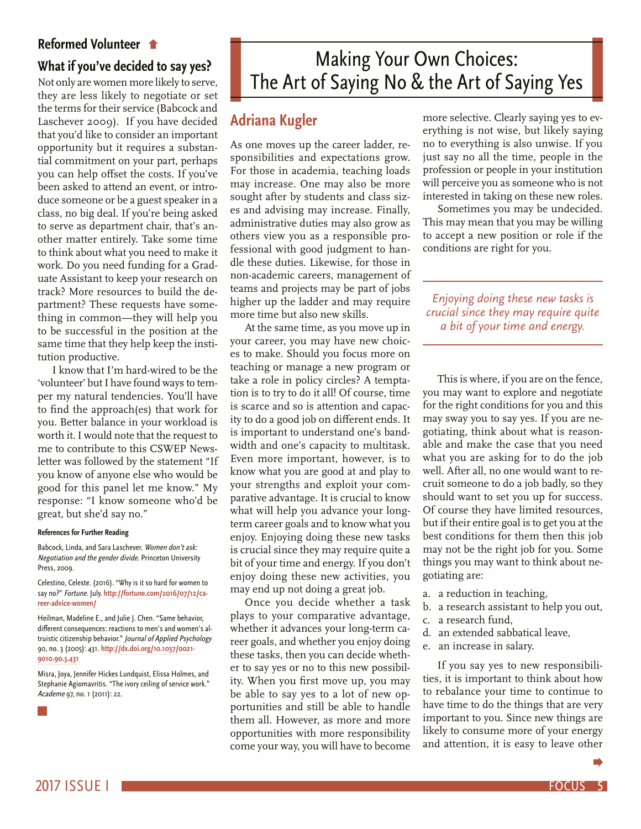### <span id="page-4-0"></span>**[Reformed Volunteer](#page-3-0)**

# **What if you've decided to say yes?**

Not only are women more likely to serve, they are less likely to negotiate or set the terms for their service (Babcock and Laschever 2009). If you have decided that you'd like to consider an important opportunity but it requires a substantial commitment on your part, perhaps you can help offset the costs. If you've been asked to attend an event, or introduce someone or be a guest speaker in a class, no big deal. If you're being asked to serve as department chair, that's another matter entirely. Take some time to think about what you need to make it work. Do you need funding for a Graduate Assistant to keep your research on track? More resources to build the department? These requests have something in common—they will help you to be successful in the position at the same time that they help keep the institution productive.

I know that I'm hard-wired to be the 'volunteer' but I have found ways to temper my natural tendencies. You'll have to find the approach(es) that work for you. Better balance in your workload is worth it. I would note that the request to me to contribute to this CSWEP Newsletter was followed by the statement "If you know of anyone else who would be good for this panel let me know." My response: "I know someone who'd be great, but she'd say no."

#### **References for Further Reading**

Babcock, Linda, and Sara Laschever. Women don't ask: Negotiation and the gender divide. Princeton University Press, 2009.

Celestino, Celeste. (2016). "Why is it so hard for women to say no?" Fortune. July. **[http://fortune.com/2016/07/12/ca](http://fortune.com/2016/07/12/career-advice-women/)[reer-advice-women/](http://fortune.com/2016/07/12/career-advice-women/)**

Heilman, Madeline E., and Julie J. Chen. "Same behavior, different consequences: reactions to men's and women's altruistic citizenship behavior." Journal of Applied Psychology 90, no. 3 (2005): 431. **[http://dx.doi.org/10.1037/0021-](http://dx.doi.org/10.1037/0021-9010.90.3.431) [9010.90.3.431](http://dx.doi.org/10.1037/0021-9010.90.3.431)**

Misra, Joya, Jennifer Hickes Lundquist, Elissa Holmes, and Stephanie Agiomavritis. "The ivory ceiling of service work." Academe 97, no. 1 (2011): 22.

# Making Your Own Choices: The Art of Saying No & the Art of Saying Yes

# **Adriana Kugler**

As one moves up the career ladder, responsibilities and expectations grow. For those in academia, teaching loads may increase. One may also be more sought after by students and class sizes and advising may increase. Finally, administrative duties may also grow as others view you as a responsible professional with good judgment to handle these duties. Likewise, for those in non-academic careers, management of teams and projects may be part of jobs higher up the ladder and may require more time but also new skills.

At the same time, as you move up in your career, you may have new choices to make. Should you focus more on teaching or manage a new program or take a role in policy circles? A temptation is to try to do it all! Of course, time is scarce and so is attention and capacity to do a good job on different ends. It is important to understand one's bandwidth and one's capacity to multitask. Even more important, however, is to know what you are good at and play to your strengths and exploit your comparative advantage. It is crucial to know what will help you advance your longterm career goals and to know what you enjoy. Enjoying doing these new tasks is crucial since they may require quite a bit of your time and energy. If you don't enjoy doing these new activities, you may end up not doing a great job.

Once you decide whether a task plays to your comparative advantage, whether it advances your long-term career goals, and whether you enjoy doing these tasks, then you can decide whether to say yes or no to this new possibility. When you first move up, you may be able to say yes to a lot of new opportunities and still be able to handle them all. However, as more and more opportunities with more responsibility come your way, you will have to become

more selective. Clearly saying yes to everything is not wise, but likely saying no to everything is also unwise. If you just say no all the time, people in the profession or people in your institution will perceive you as someone who is not interested in taking on these new roles.

Sometimes you may be undecided. This may mean that you may be willing to accept a new position or role if the conditions are right for you.

*Enjoying doing these new tasks is crucial since they may require quite a bit of your time and energy.* 

This is where, if you are on the fence, you may want to explore and negotiate for the right conditions for you and this may sway you to say yes. If you are negotiating, think about what is reasonable and make the case that you need what you are asking for to do the job well. After all, no one would want to recruit someone to do a job badly, so they should want to set you up for success. Of course they have limited resources, but if their entire goal is to get you at the best conditions for them then this job may not be the right job for you. Some things you may want to think about negotiating are:

- a. a reduction in teaching,
- b. a research assistant to help you out,
- c. a research fund,
- d. an extended sabbatical leave,
- e. an increase in salary.

If you say yes to new responsibilities, it is important to think about how to rebalance your time to continue to have time to do the things that are very important to you. Since new things are likely to consume more of your energy and attention, it is easy to leave other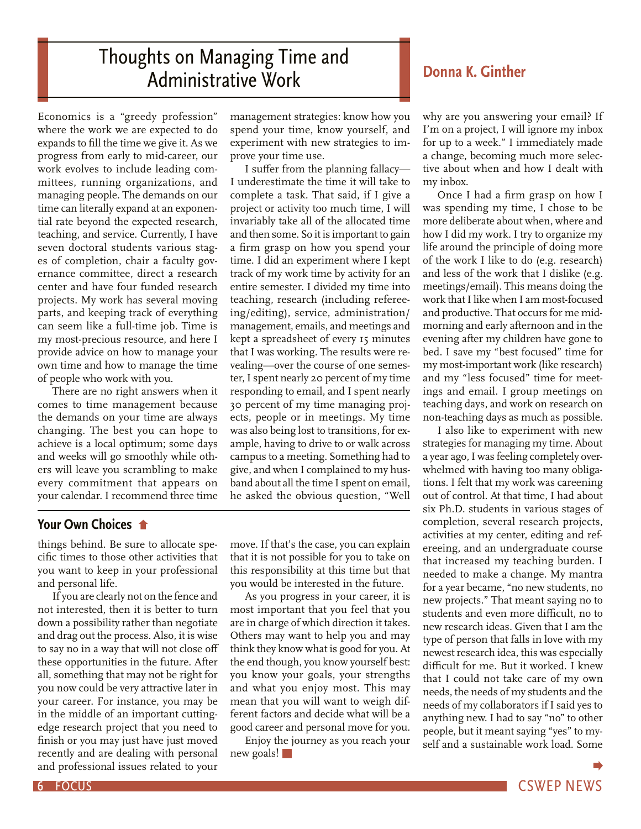# <span id="page-5-0"></span>Thoughts on Managing Time and **Donna K. Ginther** Administrative Work

Economics is a "greedy profession" where the work we are expected to do expands to fill the time we give it. As we progress from early to mid-career, our work evolves to include leading committees, running organizations, and managing people. The demands on our time can literally expand at an exponential rate beyond the expected research, teaching, and service. Currently, I have seven doctoral students various stages of completion, chair a faculty governance committee, direct a research center and have four funded research projects. My work has several moving parts, and keeping track of everything can seem like a full-time job. Time is my most-precious resource, and here I provide advice on how to manage your own time and how to manage the time of people who work with you.

There are no right answers when it comes to time management because the demands on your time are always changing. The best you can hope to achieve is a local optimum; some days and weeks will go smoothly while others will leave you scrambling to make every commitment that appears on your calendar. I recommend three time

management strategies: know how you spend your time, know yourself, and experiment with new strategies to improve your time use.

I suffer from the planning fallacy— I underestimate the time it will take to complete a task. That said, if I give a project or activity too much time, I will invariably take all of the allocated time and then some. So it is important to gain a firm grasp on how you spend your time. I did an experiment where I kept track of my work time by activity for an entire semester. I divided my time into teaching, research (including refereeing/editing), service, administration/ management, emails, and meetings and kept a spreadsheet of every 15 minutes that I was working. The results were revealing—over the course of one semester, I spent nearly 20 percent of my time responding to email, and I spent nearly 30 percent of my time managing projects, people or in meetings. My time was also being lost to transitions, for example, having to drive to or walk across campus to a meeting. Something had to give, and when I complained to my husband about all the time I spent on email, he asked the obvious question, "Well

### **[Your Own Choices](#page-4-0)**

things behind. Be sure to allocate specific times to those other activities that you want to keep in your professional and personal life.

If you are clearly not on the fence and not interested, then it is better to turn down a possibility rather than negotiate and drag out the process. Also, it is wise to say no in a way that will not close off these opportunities in the future. After all, something that may not be right for you now could be very attractive later in your career. For instance, you may be in the middle of an important cuttingedge research project that you need to finish or you may just have just moved recently and are dealing with personal and professional issues related to your

move. If that's the case, you can explain that it is not possible for you to take on this responsibility at this time but that you would be interested in the future.

As you progress in your career, it is most important that you feel that you are in charge of which direction it takes. Others may want to help you and may think they know what is good for you. At the end though, you know yourself best: you know your goals, your strengths and what you enjoy most. This may mean that you will want to weigh different factors and decide what will be a good career and personal move for you.

Enjoy the journey as you reach your new goals!

why are you answering your email? If I'm on a project, I will ignore my inbox for up to a week." I immediately made a change, becoming much more selective about when and how I dealt with my inbox.

Once I had a firm grasp on how I was spending my time, I chose to be more deliberate about when, where and how I did my work. I try to organize my life around the principle of doing more of the work I like to do (e.g. research) and less of the work that I dislike (e.g. meetings/email). This means doing the work that I like when I am most-focused and productive. That occurs for me midmorning and early afternoon and in the evening after my children have gone to bed. I save my "best focused" time for my most-important work (like research) and my "less focused" time for meetings and email. I group meetings on teaching days, and work on research on non-teaching days as much as possible.

I also like to experiment with new strategies for managing my time. About a year ago, I was feeling completely overwhelmed with having too many obligations. I felt that my work was careening out of control. At that time, I had about six Ph.D. students in various stages of completion, several research projects, activities at my center, editing and refereeing, and an undergraduate course that increased my teaching burden. I needed to make a change. My mantra for a year became, "no new students, no new projects." That meant saying no to students and even more difficult, no to new research ideas. Given that I am the type of person that falls in love with my newest research idea, this was especially difficult for me. But it worked. I knew that I could not take care of my own needs, the needs of my students and the needs of my collaborators if I said yes to anything new. I had to say "no" to other people, but it meant saying "yes" to myself and a sustainable work load. Some